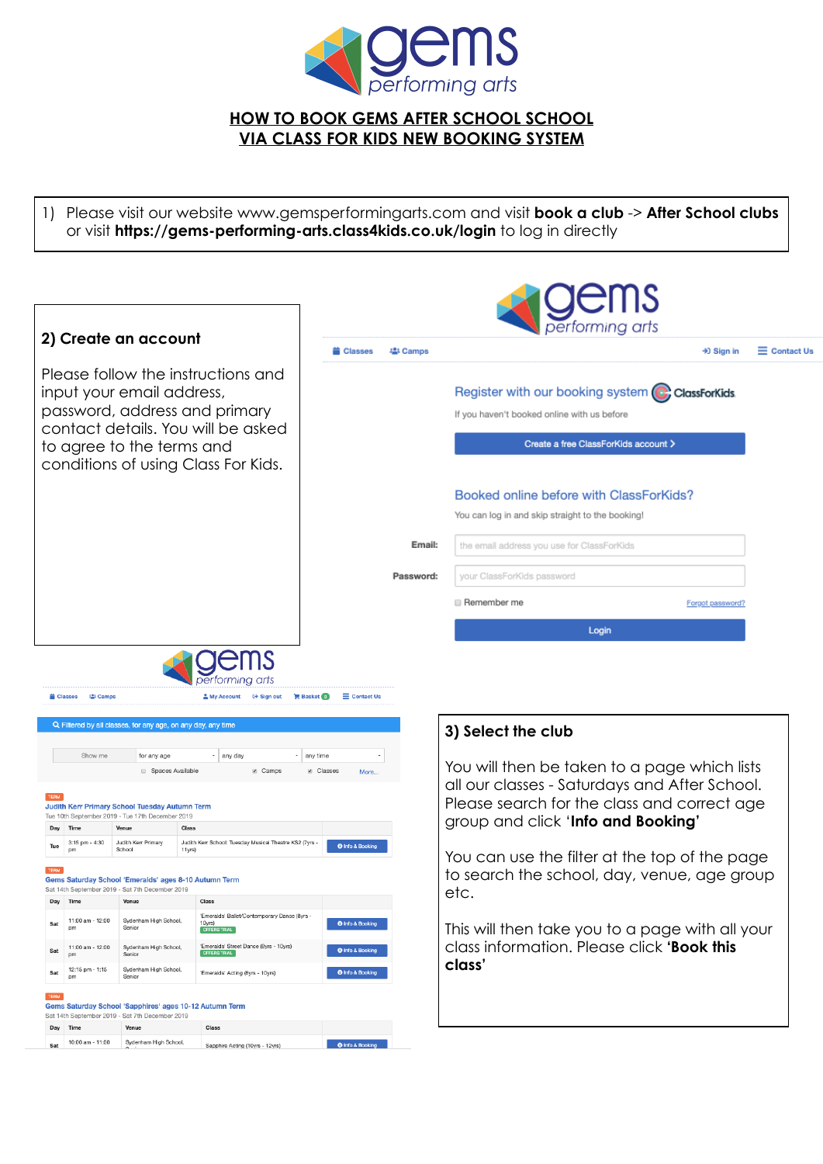

## **HOW TO BOOK GEMS AFTER SCHOOL SCHOOL VIA CLASS FOR KIDS NEW BOOKING SYSTEM**

1) Please visit our website [www.gemsperformingarts.com](http://www.gemsperformingarts.com) and visit **book a club** -> **After School clubs**  or visit **<https://gems-performing-arts.class4kids.co.uk/login>** to log in directly

|                                                                                                                                                                                                            | pertorming arts     |                                                                                                                                                                                    |                                              |
|------------------------------------------------------------------------------------------------------------------------------------------------------------------------------------------------------------|---------------------|------------------------------------------------------------------------------------------------------------------------------------------------------------------------------------|----------------------------------------------|
| 2) Create an account                                                                                                                                                                                       | 場 Camps<br>Classes  |                                                                                                                                                                                    | $\equiv$ Contact Us<br>$\rightarrow$ Sign in |
| Please follow the instructions and<br>input your email address,<br>password, address and primary<br>contact details. You will be asked<br>to agree to the terms and<br>conditions of using Class For Kids. |                     | Register with our booking system C ClassForKids.<br>If you haven't booked online with us before                                                                                    |                                              |
|                                                                                                                                                                                                            |                     | Create a free ClassForKids account >                                                                                                                                               |                                              |
|                                                                                                                                                                                                            |                     | Booked online before with ClassForKids?                                                                                                                                            |                                              |
|                                                                                                                                                                                                            |                     | You can log in and skip straight to the booking!                                                                                                                                   |                                              |
|                                                                                                                                                                                                            | Email:              | the email address you use for ClassForKids                                                                                                                                         |                                              |
|                                                                                                                                                                                                            | Password:           | your ClassForKids password                                                                                                                                                         |                                              |
|                                                                                                                                                                                                            |                     | <b>■ Remember me</b>                                                                                                                                                               | Forgot password?                             |
|                                                                                                                                                                                                            |                     | Login                                                                                                                                                                              |                                              |
| pertorming arts<br>Classes<br>場 Camps<br><b>⊕ Sign out</b><br><b>Basket</b><br>& My Account                                                                                                                | $\equiv$ Contact Us |                                                                                                                                                                                    |                                              |
| Q Filtered by all classes, for any age, on any day, any time                                                                                                                                               |                     | 3) Select the club                                                                                                                                                                 |                                              |
| Show me<br>$\cdot$ any day<br>any time<br>for any age<br>Camps<br>Spaces Available<br>Judith Kerr Primary School Tuesday Autumn Term<br>Tue 10th September 2019 - Tue 17th December 2019                   | in Classes<br>More  | You will then be taken to a page which lists<br>all our classes - Saturdays and After School.<br>Please search for the class and correct age<br>group and click 'Info and Booking' |                                              |

O Info & Boo

O Info & B

O Info & Book

O Info & Booking

O Info & Book

Day Time

Time

11:00 am - 12:00

12:15 pm - 1:15<br>pm

Tue TERM

Day

Sat

Sat

Sat

 $Day$  Time

Venue

Gems Saturday School 'Emeralds' ages 8-10 Autumn Term Sat 14th September 2019 - Sat 7th December 2019

Sydenham High School,<br>Senior

Sydenham High School,<br>Senior

Sat 10:00 am - 11:00 Sydenham High School, Sapphire Acting (10yrs - 12yrs)

TERM<br>Gems Saturday School 'Sapphires' ages 10-12 Autumn Term

Venue

11:00 am - 12:00 Sydenham High School,

Sat 14th September 2019 - Sat 7th December 2019

Venue

Class 3:15 pm - 4:30 Judith Kerr Primary Judith Kerr School: Tuesday Musical Theatre KS2 (7yrs - School 11yrs)

Class

Class

**IS TRIAL** 

'Emeralds' Acting (8yrs - 10yrs)

eralds' Ballet/Contemporary Dance (8yrs

et Dance (8yrs - 10yrs)

You can use the filter at the top of the page to search the school, day, venue, age group etc.

This will then take you to a page with all your class information. Please click **'Book this class'**